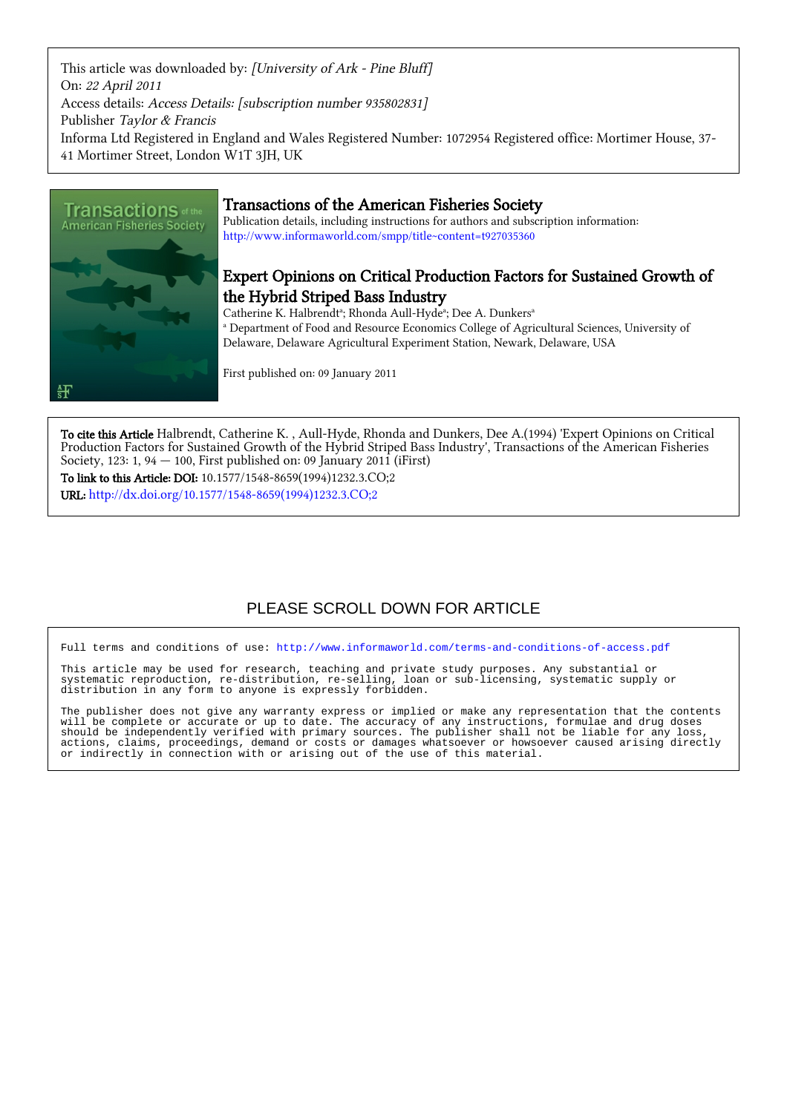This article was downloaded by: [University of Ark - Pine Bluff] On: 22 April 2011 Access details: Access Details: [subscription number 935802831] Publisher Taylor & Francis Informa Ltd Registered in England and Wales Registered Number: 1072954 Registered office: Mortimer House, 37- 41 Mortimer Street, London W1T 3JH, UK



# Transactions of the American Fisheries Society

Publication details, including instructions for authors and subscription information: <http://www.informaworld.com/smpp/title~content=t927035360>

# Expert Opinions on Critical Production Factors for Sustained Growth of the Hybrid Striped Bass Industry

Catherine K. Halbrendt<sup>a</sup>; Rhonda Aull-Hyde<sup>a</sup>; Dee A. Dunkers<sup>a</sup> a Department of Food and Resource Economics College of Agricultural Sciences, University of Delaware, Delaware Agricultural Experiment Station, Newark, Delaware, USA

First published on: 09 January 2011

To cite this Article Halbrendt, Catherine K. , Aull-Hyde, Rhonda and Dunkers, Dee A.(1994) 'Expert Opinions on Critical Production Factors for Sustained Growth of the Hybrid Striped Bass Industry', Transactions of the American Fisheries Society, 123: 1, 94  $-$  100, First published on: 09 January 2011 (iFirst)

To link to this Article: DOI: 10.1577/1548-8659(1994)1232.3.CO;2 URL: [http://dx.doi.org/10.1577/1548-8659\(1994\)1232.3.CO;2](http://dx.doi.org/10.1577/1548-8659(1994)1232.3.CO;2)

# PLEASE SCROLL DOWN FOR ARTICLE

Full terms and conditions of use:<http://www.informaworld.com/terms-and-conditions-of-access.pdf>

This article may be used for research, teaching and private study purposes. Any substantial or systematic reproduction, re-distribution, re-selling, loan or sub-licensing, systematic supply or distribution in any form to anyone is expressly forbidden.

The publisher does not give any warranty express or implied or make any representation that the contents will be complete or accurate or up to date. The accuracy of any instructions, formulae and drug doses should be independently verified with primary sources. The publisher shall not be liable for any loss, actions, claims, proceedings, demand or costs or damages whatsoever or howsoever caused arising directly or indirectly in connection with or arising out of the use of this material.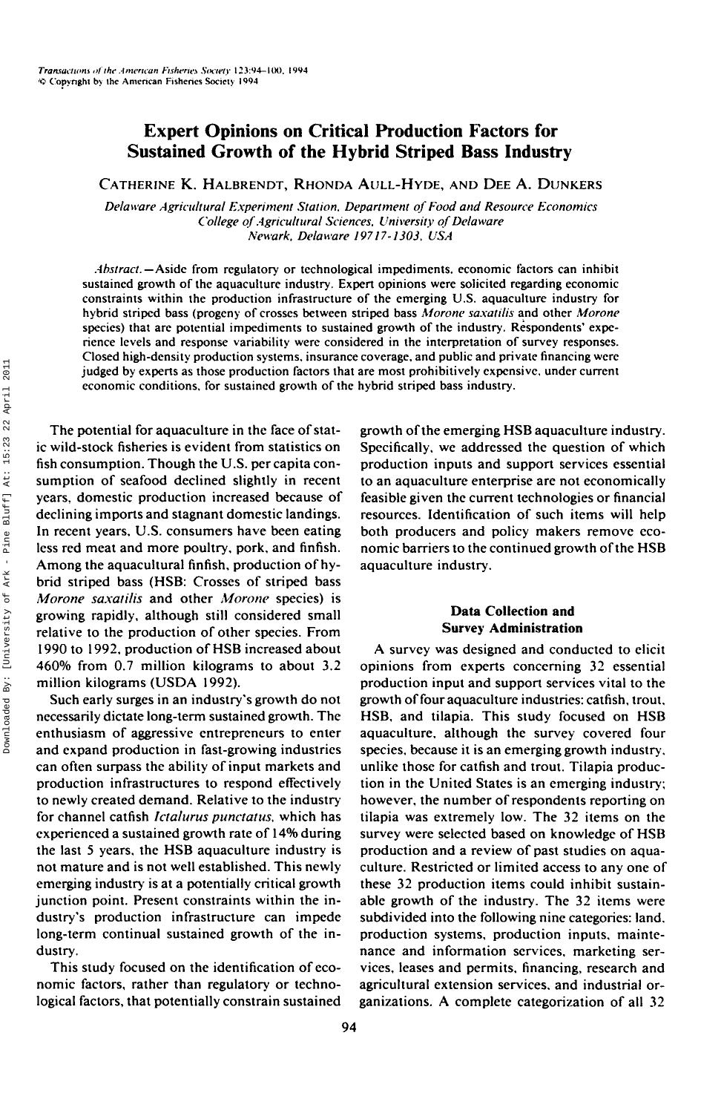# **Expert Opinions on Critical Production Factors for Sustained Growth of the Hybrid Striped Bass Industry**

CATHERINE K. HALBRENDT, RHONDA AULL-HYDE, AND DEE A. DUNKERS

*Delaware Agricultural Experiment Station, Department of Food and Resource Economics College of Agricultural Sciences. University of Delaware Newark, Delaware 19717-1303, USA*

*Abstract.—Aside* from regulatory or technological impediments, economic factors can inhibit sustained growth of the aquaculture industry. Expert opinions were solicited regarding economic constraints within the production infrastructure of the emerging U.S. aquaculture industry for hybrid striped bass (progeny of crosses between striped bass *Morone saxatilis* and other *Morone* species) that are potential impediments to sustained growth of the industry. Respondents' experience levels and response variability were considered in the interpretation of survey responses. Closed high-density production systems, insurance coverage, and public and private financing were judged by experts as those production factors that are most prohibitively expensive, under current economic conditions, for sustained growth of the hybrid striped bass industry.

The potential for aquaculture in the face of static wild-stock fisheries is evident from statistics on fish consumption. Though the U.S. per capita consumption of seafood declined slightly in recent years, domestic production increased because of declining imports and stagnant domestic landings. In recent years, U.S. consumers have been eating less red meat and more poultry, pork, and finfish. Among the aquacultural finfish, production of hybrid striped bass (HSB: Crosses of striped bass *Morone saxatilis* and other *Morone* species) is growing rapidly, although still considered small relative to the production of other species. From 1990 to 1992, production of HSB increased about 460% from 0.7 million kilograms to about 3.2 million kilograms (USDA 1992).

Such early surges in an industry's growth do not necessarily dictate long-term sustained growth. The enthusiasm of aggressive entrepreneurs to enter and expand production in fast-growing industries can often surpass the ability of input markets and production infrastructures to respond effectively to newly created demand. Relative to the industry for channel catfish *Ictalurus punctatus,* which has experienced a sustained growth rate of 14% during the last 5 years, the HSB aquaculture industry is not mature and is not well established. This newly emerging industry' is at a potentially critical growth junction point. Present constraints within the industry's production infrastructure can impede long-term continual sustained growth of the industry.

This study focused on the identification of economic factors, rather than regulatory or technological factors, that potentially constrain sustained growth of the emerging HSB aquaculture industry. Specifically, we addressed the question of which production inputs and support services essential to an aquaculture enterprise are not economically feasible given the current technologies or financial resources. Identification of such items will help both producers and policy makers remove economic barriers to the continued growth of the HSB aquaculture industry.

## **Data Collection and Survey Administration**

A survey was designed and conducted to elicit opinions from experts concerning 32 essential production input and support services vital to the growth of four aquaculture industries: catfish, trout, HSB, and tilapia. This study focused on HSB aquaculture, although the survey covered four species, because it is an emerging growth industry, unlike those for catfish and trout. Tilapia production in the United States is an emerging industry; however, the number of respondents reporting on tilapia was extremely low. The 32 items on the survey were selected based on knowledge of HSB production and a review of past studies on aquaculture. Restricted or limited access to any one of these 32 production items could inhibit sustainable growth of the industry. The 32 items were subdivided into the following nine categories: land, production systems, production inputs, maintenance and information services, marketing services, leases and permits, financing, research and agricultural extension services, and industrial organizations. A complete categorization of all 32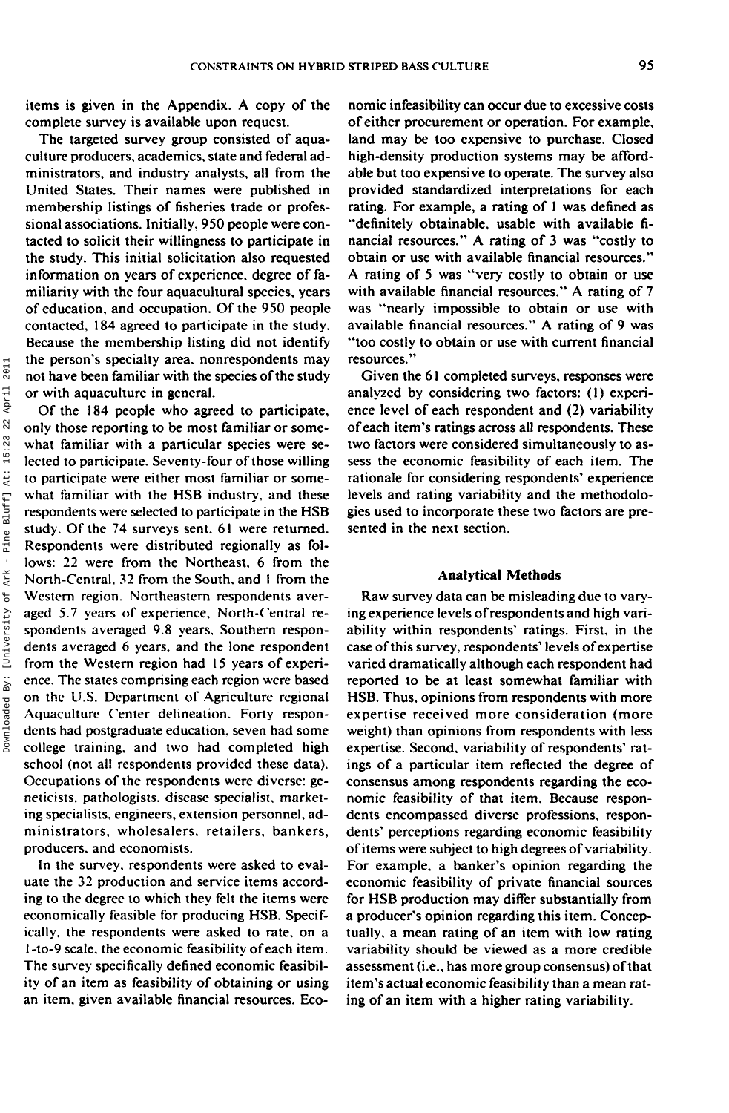items is given in the Appendix. A copy of the complete survey is available upon request.

The targeted survey group consisted of aquaculture producers, academics, state and federal administrators, and industry analysts, all from the United States. Their names were published in membership listings of fisheries trade or professional associations. Initially, 950 people were contacted to solicit their willingness to participate in the study. This initial solicitation also requested information on years of experience, degree of familiarity with the four aquacultural species, years of education, and occupation. Of the 950 people contacted, 184 agreed to participate in the study. Because the membership listing did not identify the person's specialty area, nonrespondents may not have been familiar with the species of the study or with aquaculture in general.

Of the 184 people who agreed to participate, only those reporting to be most familiar or somewhat familiar with a particular species were selected to participate. Seventy-four of those willing to participate were either most familiar or somewhat familiar with the MSB industry, and these respondents were selected to participate in the HSB study. Of the 74 surveys sent, 61 were returned. Respondents were distributed regionally as follows: 22 were from the Northeast, 6 from the North-Central, 32 from the South, and 1 from the Western region. Northeastern respondents averaged 5.7 years of experience, North-Central respondents averaged 9.8 years. Southern respondents averaged 6 years, and the lone respondent from the Western region had 15 years of experience. The states comprising each region were based on the U.S. Department of Agriculture regional Aquaculture Center delineation. Forty respondents had postgraduate education, seven had some college training, and two had completed high school (not all respondents provided these data). Occupations of the respondents were diverse: geneticists, pathologists. disease specialist, marketing specialists, engineers, extension personnel, administrators, wholesalers, retailers, bankers, producers, and economists.

In the survey, respondents were asked to evaluate the 32 production and service items according to the degree to which they felt the items were economically feasible for producing HSB. Specifically, the respondents were asked to rate, on a 1 -to-9 scale, the economic feasibility of each item. The survey specifically defined economic feasibility of an item as feasibility of obtaining or using an item, given available financial resources. Economic infeasibility can occur due to excessive costs of either procurement or operation. For example, land may be too expensive to purchase. Closed high-density production systems may be affordable but too expensive to operate. The survey also provided standardized interpretations for each rating. For example, a rating of 1 was defined as "definitely obtainable, usable with available financial resources." A rating of 3 was "costly to obtain or use with available financial resources." A rating of 5 was "very costly to obtain or use with available financial resources." A rating of 7 was "nearly impossible to obtain or use with available financial resources." A rating of 9 was "too costly to obtain or use with current financial resources."

Given the 61 completed surveys, responses were analyzed by considering two factors: (1) experience level of each respondent and (2) variability of each item's ratings across all respondents. These two factors were considered simultaneously to assess the economic feasibility of each item. The rationale for considering respondents' experience levels and rating variability and the methodologies used to incorporate these two factors are presented in the next section.

#### **Analytical Methods**

Raw survey data can be misleading due to varying experience levels of respondents and high variability within respondents' ratings. First, in the case of this survey, respondents' levels of expertise varied dramatically although each respondent had reported to be at least somewhat familiar with HSB. Thus, opinions from respondents with more expertise received more consideration (more weight) than opinions from respondents with less expertise. Second, variability of respondents' ratings of a particular item reflected the degree of consensus among respondents regarding the economic feasibility of that item. Because respondents encompassed diverse professions, respondents' perceptions regarding economic feasibility of items were subject to high degrees of variability. For example, a banker's opinion regarding the economic feasibility of private financial sources for HSB production may differ substantially from a producer's opinion regarding this item. Conceptually, a mean rating of an item with low rating variability should be viewed as a more credible assessment (i.e., has more group consensus) of that item's actual economic feasibility than a mean rating of an item with a higher rating variability.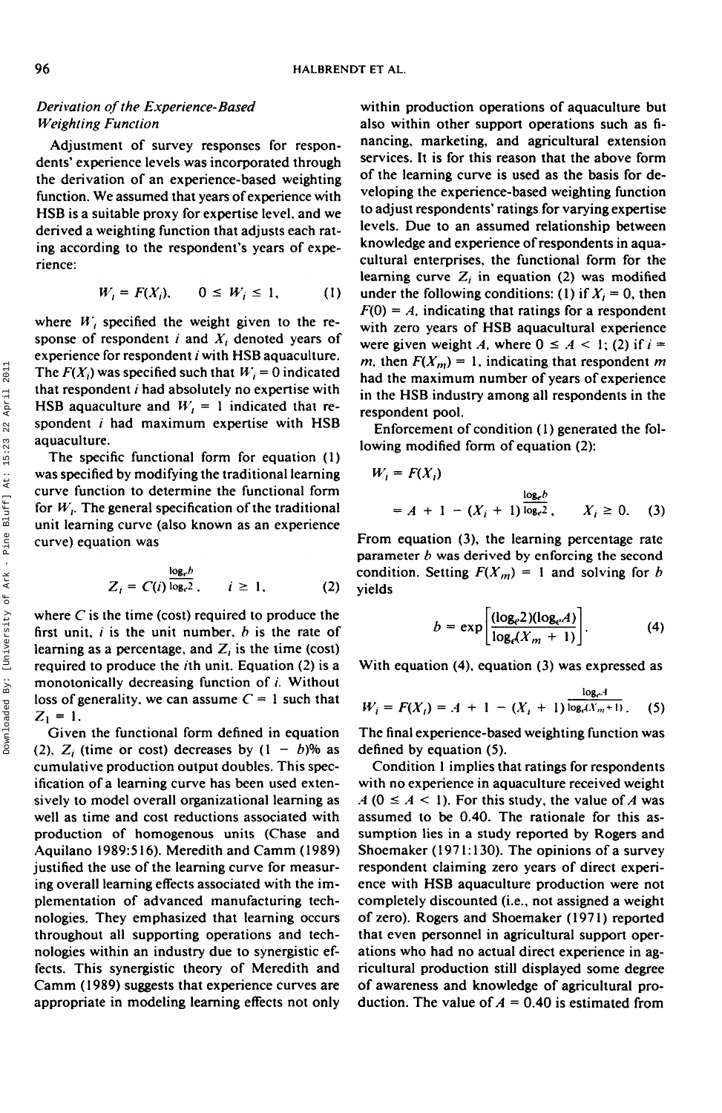## *Derivation of the Experience-Based Weighting Function*

Adjustment of survey responses for respondents' experience levels was incorporated through the derivation of an experience-based weighting function. We assumed that years of experience with HSB is a suitable proxy for expertise level, and we derived a weighting function that adjusts each rating according to the respondent's years of experience:

$$
W_i = F(X_i), \qquad 0 \le W_i \le 1, \tag{1}
$$

where  $W_i$  specified the weight given to the response of respondent  $i$  and  $X_i$  denoted years of experience for respondent  $i$  with HSB aquaculture. The  $F(X_i)$  was specified such that  $W_i = 0$  indicated that respondent  $i$  had absolutely no expertise with HSB aquaculture and  $W_t = 1$  indicated that respondent  $i$  had maximum expertise with HSB aquaculture.

The specific functional form for equation (1) was specified by modifying the traditional learning curve function to determine the functional form for  $W<sub>i</sub>$ . The general specification of the traditional unit learning curve (also known as an experience curve) equation was

$$
Z_i = C(i) \frac{\log_c b}{\log_c 2}, \qquad i \geq 1, \tag{2}
$$

where *C* is the time (cost) required to produce the first unit,  $i$  is the unit number,  $b$  is the rate of learning as a percentage, and  $Z_i$  is the time (cost) required to produce the  $i$ th unit. Equation (2) is a monotonically decreasing function of  $i$ . Without loss of generality, we can assume  $C = 1$  such that  $Z_1 = 1$ .

Given the functional form defined in equation (2),  $Z_i$  (time or cost) decreases by  $(1 - b)\%$  as cumulative production output doubles. This specification of a learning curve has been used extensively to model overall organizational learning as well as time and cost reductions associated with production of homogenous units (Chase and Aquilano 1989:516). Meredith and Camm (1989) justified the use of the learning curve for measuring overall learning effects associated with the implementation of advanced manufacturing technologies. They emphasized that learning occurs throughout all supporting operations and technologies within an industry due to synergistic effects. This synergistic theory of Meredith and Camm (1989) suggests that experience curves are appropriate in modeling learning effects not only

within production operations of aquaculture but also within other support operations such as financing, marketing, and agricultural extension services. It is for this reason that the above form of the learning curve is used as the basis for developing the experience-based weighting function to adjust respondents' ratings for varying expertise levels. Due to an assumed relationship between knowledge and experience of respondents in aquacultural enterprises, the functional form for the learning curve  $Z_i$  in equation (2) was modified under the following conditions: (1) if  $X_i = 0$ , then  $F(0) = A$ , indicating that ratings for a respondent with zero years of HSB aquacultural experience were given weight A, where  $0 \leq A \leq 1$ ; (2) if  $i =$ *m*, then  $F(X_m) = 1$ , indicating that respondent *m* had the maximum number of years of experience in the HSB industry among all respondents in the respondent pool.

Enforcement of condition (1) generated the following modified form of equation (2):

$$
W_i = F(X_i)
$$
  
= A + 1 - (X<sub>i</sub> + 1)  $\frac{\log_e b}{\log_e 2}$ ,  $X_i \ge 0$ . (3)

From equation (3), the learning percentage rate parameter *b* was derived by enforcing the second condition. Setting  $F(X_m) = 1$  and solving for *b* yields

$$
b = \exp\left[\frac{(\log_e 2)(\log_e A)}{\log_e (X_m + 1)}\right].
$$
 (4)

With equation (4), equation (3) was expressed as

$$
W_i = F(X_i) = A + 1 - (X_i + 1) \frac{\log_e A}{\log_e (X_m + 1)}.
$$
 (5)

The final experience-based weighting function was defined by equation (5).

Condition 1 implies that ratings for respondents with no experience in aquaculture received weight  $A$  ( $0 \le A < 1$ ). For this study, the value of *A* was assumed to be 0.40. The rationale for this assumption lies in a study reported by Rogers and Shoemaker (1971:130). The opinions of a survey respondent claiming zero years of direct experience with HSB aquaculture production were not completely discounted (i.e., not assigned a weight of zero). Rogers and Shoemaker (1971) reported that even personnel in agricultural support operations who had no actual direct experience in agricultural production still displayed some degree of awareness and knowledge of agricultural production. The value of  $A = 0.40$  is estimated from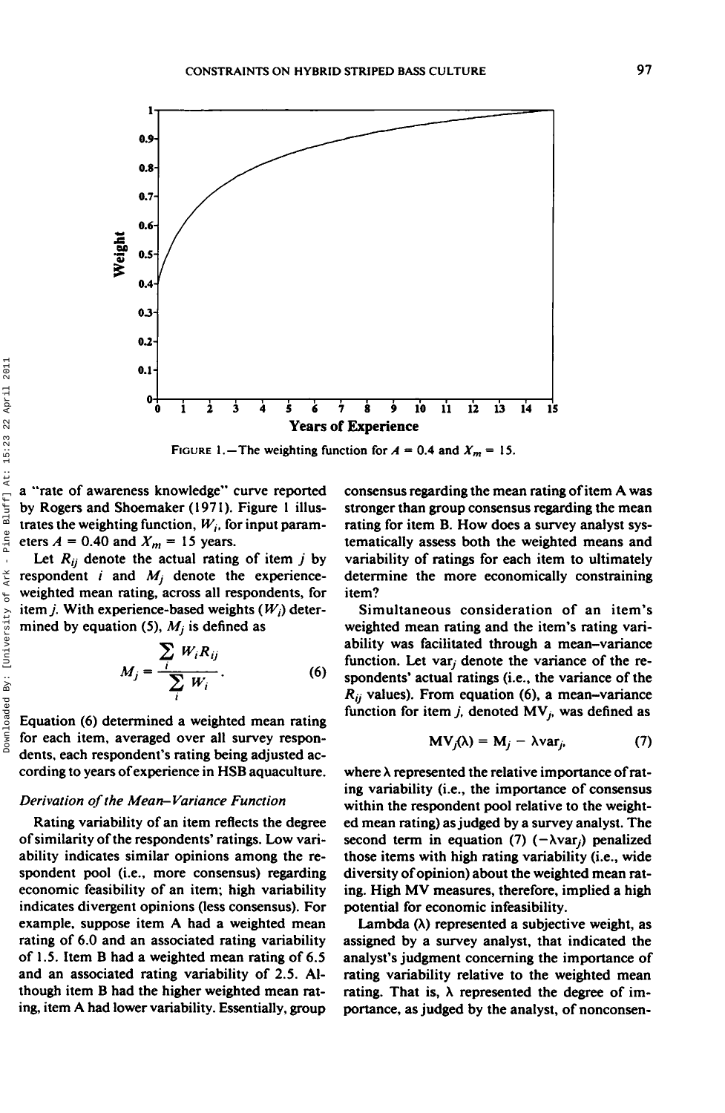

FIGURE 1.—The weighting function for  $A = 0.4$  and  $X_m = 15$ .

a "rate of awareness knowledge" curve reported by Rogers and Shoemaker (1971). Figure 1 illustrates the weighting function,  $W_i$ , for input parameters  $A = 0.40$  and  $X_m = 15$  years.

Let  $R_{ij}$  denote the actual rating of item  $j$  by respondent  $i$  and  $M_i$  denote the experienceweighted mean rating, across all respondents, for item  $j$ . With experience-based weights  $(W<sub>i</sub>)$  determined by equation (5),  $M_i$  is defined as

$$
M_j = \frac{\sum_i W_i R_{ij}}{\sum_i W_i}.
$$
 (6)

Equation (6) determined a weighted mean rating for each item, averaged over all survey respondents, each respondent's rating being adjusted according to years of experience in HSB aquaculture.

#### *Derivation of the Mean-Variance Function*

Rating variability of an item reflects the degree of similarity of the respondents' ratings. Low variability indicates similar opinions among the respondent pool (i.e., more consensus) regarding economic feasibility of an item; high variability indicates divergent opinions (less consensus). For example, suppose item A had a weighted mean rating of 6.0 and an associated rating variability of 1.5. Item B had a weighted mean rating of 6.5 and an associated rating variability of 2.5. Although item B had the higher weighted mean rating, item A had lower variability. Essentially, group

consensus regarding the mean rating of item A was stronger than group consensus regarding the mean rating for item B. How does a survey analyst systematically assess both the weighted means and variability of ratings for each item to ultimately determine the more economically constraining item?

Simultaneous consideration of an item's weighted mean rating and the item's rating variability was facilitated through a mean-variance function. Let var<sub>i</sub> denote the variance of the respondents' actual ratings (i.e., the variance of the  $R_{ij}$  values). From equation (6), a mean-variance function for item  $j$ , denoted  $MV_j$ , was defined as

$$
MV_j(\lambda) = M_j - \lambda var_j, \qquad (7)
$$

where  $\lambda$  represented the relative importance of rating variability (i.e., the importance of consensus within the respondent pool relative to the weighted mean rating) as judged by a survey analyst. The second term in equation (7)  $(-\lambda var_i)$  penalized those items with high rating variability (i.e., wide diversity of opinion) about the weighted mean rating. High MV measures, therefore, implied a high potential for economic infeasibility.

Lambda  $(\lambda)$  represented a subjective weight, as assigned by a survey analyst, that indicated the analyst's judgment concerning the importance of rating variability relative to the weighted mean rating. That is,  $\lambda$  represented the degree of importance, as judged by the analyst, of nonconsen-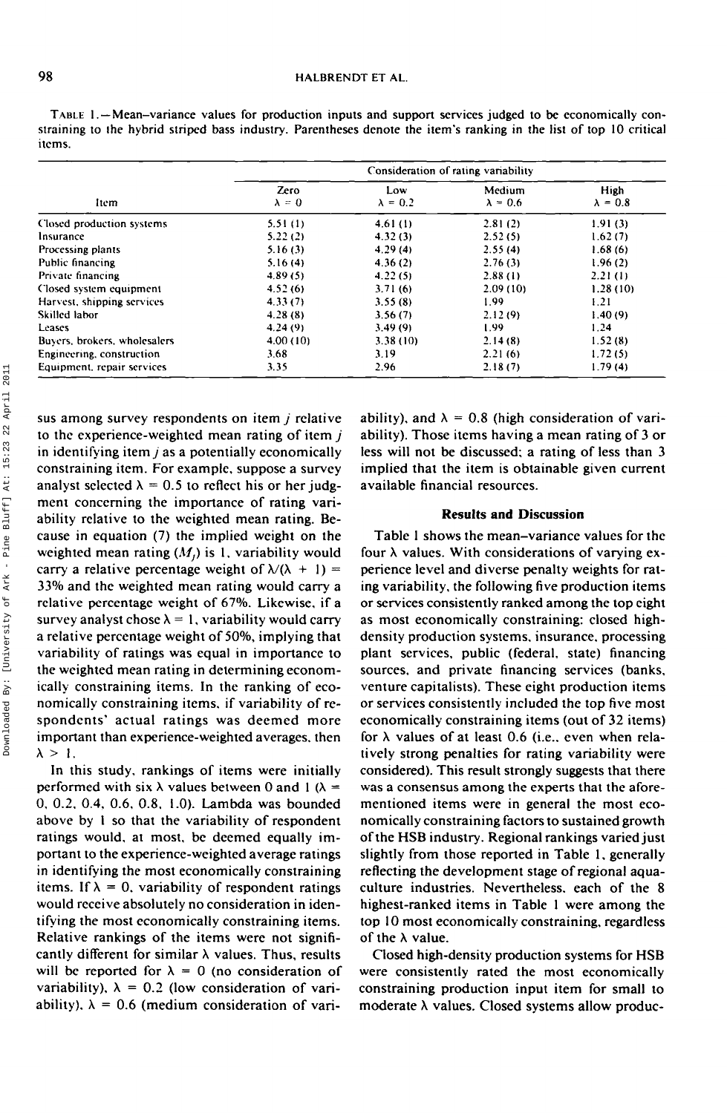### 98 **HALBRENDT ET AL.**

TABLE 1. —Mean-variance values for production inputs and support services judged to be economically constraining to ihe hybrid striped bass industry. Parentheses denote the item's ranking in the list of top 10 critical items.

|                              | Consideration of rating variability |                        |                           |                         |  |
|------------------------------|-------------------------------------|------------------------|---------------------------|-------------------------|--|
| ltem                         | Zero<br>$\lambda = 0$               | Low<br>$\lambda = 0.2$ | Medium<br>$\lambda = 0.6$ | High<br>$\lambda = 0.8$ |  |
| Closed production systems    | 5.51(1)                             | 4.61(1)                | 2.81(2)                   | 1.91(3)                 |  |
| Insurance                    | 5.22(2)                             | 4.32(3)                | 2.52(5)                   | 1.62(7)                 |  |
| Processing plants            | 5.16(3)                             | 4.29(4)                | 2.55(4)                   | 1.68(6)                 |  |
| Public financing             | 5.16(4)                             | 4.36(2)                | 2.76(3)                   | 1.96(2)                 |  |
| Private financing            | 4.89(5)                             | 4.22(5)                | 2.88(1)                   | 2.21(1)                 |  |
| Closed system equipment      | 4.52(6)                             | 3.71(6)                | 2.09(10)                  | 1.28(10)                |  |
| Harvest, shipping services   | 4.33(7)                             | 3.55(8)                | 1.99                      | 1.21                    |  |
| Skilled labor                | 4.28(8)                             | 3.56(7)                | 2.12(9)                   | 1.40(9)                 |  |
| Leases                       | 4.24(9)                             | 3.49(9)                | 1.99                      | 1.24                    |  |
| Buyers, brokers, wholesalers | 4.00(10)                            | 3.38(10)               | 2.14(8)                   | 1.52(8)                 |  |
| Engineering, construction    | 3.68                                | 3.19                   | 2.21(6)                   | 1.72(5)                 |  |
| Equipment, repair services   | 3.35                                | 2.96                   | 2.18(7)                   | 1.79(4)                 |  |

sus among survey respondents on item *j* relative to the experience-weighted mean rating of item *j* in identifying item *j* as a potentially economically constraining item. For example, suppose a survey analyst selected  $\lambda = 0.5$  to reflect his or her judgment concerning the importance of rating variability relative to the weighted mean rating. Because in equation (7) the implied weight on the weighted mean rating  $(M<sub>i</sub>)$  is 1, variability would carry a relative percentage weight of  $\lambda/(\lambda + 1) =$ 33% and the weighted mean rating would carry a relative percentage weight of 67%. Likewise, if a survey analyst chose  $\lambda = 1$ , variability would carry a relative percentage weight of 50%, implying that variability of ratings was equal in importance to the weighted mean rating in determining economically constraining items. In the ranking of economically constraining items, if variability of respondents' actual ratings was deemed more important than experience-weighted averages, then  $\lambda > 1$ .

In this study, rankings of items were initially performed with six  $\lambda$  values between 0 and 1 ( $\lambda =$ 0, 0,2, 0.4, 0.6, 0.8, 1.0). Lambda was bounded above by I so that the variability of respondent ratings would, at most, be deemed equally important to the experience-weighted average ratings in identifying the most economically constraining items. If  $\lambda = 0$ , variability of respondent ratings would receive absolutely no consideration in identifying the most economically constraining items. Relative rankings of the items were not significantly different for similar  $\lambda$  values. Thus, results will be reported for  $\lambda = 0$  (no consideration of variability),  $\lambda = 0.2$  (low consideration of variability),  $\lambda = 0.6$  (medium consideration of variability), and  $\lambda = 0.8$  (high consideration of variability). Those items having a mean rating of 3 or less will not be discussed; a rating of less than 3 implied that the item is obtainable given current available financial resources.

### **Results and Discussion**

Table 1 shows the mean-variance values for the four  $\lambda$  values. With considerations of varying experience level and diverse penalty weights for rating variability, the following five production items or services consistently ranked among the top eight as most economically constraining: closed highdensity production systems, insurance, processing plant services, public (federal, state) financing sources, and private financing services (banks, venture capitalists). These eight production items or services consistently included the top five most economically constraining items (out of 32 items) for  $\lambda$  values of at least 0.6 (i.e., even when relatively strong penalties for rating variability were considered). This result strongly suggests that there was a consensus among the experts that the aforementioned items were in general the most economically constraining factors to sustained growth of the HSB industry. Regional rankings varied just slightly from those reported in Table 1, generally reflecting the development stage of regional aquaculture industries. Nevertheless, each of the 8 highest-ranked items in Table 1 were among the top 10 most economically constraining, regardless of the  $\lambda$  value.

Closed high-density production systems for HSB were consistently rated the most economically constraining production input item for small to moderate  $\lambda$  values. Closed systems allow produc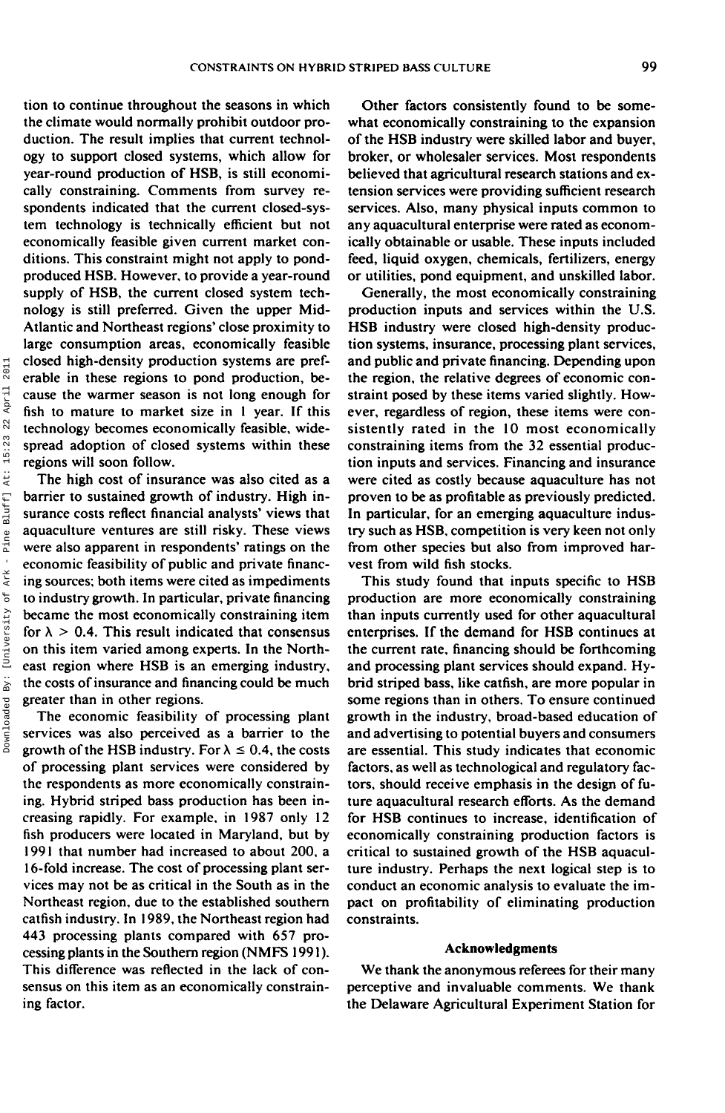tion to continue throughout the seasons in which the climate would normally prohibit outdoor production. The result implies that current technology to support closed systems, which allow for year-round production of HSB, is still economically constraining. Comments from survey respondents indicated that the current closed-system technology is technically efficient but not economically feasible given current market conditions. This constraint might not apply to pondproduced HSB. However, to provide a year-round supply of HSB, the current closed system technology is still preferred. Given the upper Mid-Atlantic and Northeast regions' close proximity to large consumption areas, economically feasible closed high-density production systems are preferable in these regions to pond production, because the warmer season is not long enough for fish to mature to market size in 1 year. If this technology becomes economically feasible, widespread adoption of closed systems within these regions will soon follow.

The high cost of insurance was also cited as a barrier to sustained growth of industry. High insurance costs reflect financial analysts' views that aquaculture ventures are still risky. These views were also apparent in respondents' ratings on the economic feasibility of public and private financing sources; both items were cited as impediments to industry growth. In particular, private financing became the most economically constraining item for  $\lambda > 0.4$ . This result indicated that consensus on this item varied among experts. In the Northeast region where HSB is an emerging industry, the costs of insurance and financing could be much greater than in other regions.

The economic feasibility of processing plant services was also perceived as a barrier to the growth of the HSB industry. For  $\lambda \le 0.4$ , the costs of processing plant services were considered by the respondents as more economically constraining. Hybrid striped bass production has been increasing rapidly. For example, in 1987 only 12 fish producers were located in Maryland, but by 1991 that number had increased to about 200, a 16-fold increase. The cost of processing plant services may not be as critical in the South as in the Northeast region, due to the established southern catfish industry. In 1989, the Northeast region had 443 processing plants compared with 657 processing plants in the Southern region (NMFS 1991). This difference was reflected in the lack of consensus on this item as an economically constraining factor.

Other factors consistently found to be somewhat economically constraining to the expansion of the HSB industry were skilled labor and buyer, broker, or wholesaler services. Most respondents believed that agricultural research stations and extension services were providing sufficient research services. Also, many physical inputs common to any aquacultural enterprise were rated as economically obtainable or usable. These inputs included feed, liquid oxygen, chemicals, fertilizers, energy or utilities, pond equipment, and unskilled labor.

Generally, the most economically constraining production inputs and services within the U.S. HSB industry were closed high-density production systems, insurance, processing plant services, and public and private financing. Depending upon the region, the relative degrees of economic constraint posed by these items varied slightly. However, regardless of region, these items were consistently rated in the 10 most economically constraining items from the 32 essential production inputs and services. Financing and insurance were cited as costly because aquaculture has not proven to be as profitable as previously predicted. In particular, for an emerging aquaculture industry such as HSB, competition is very keen not only from other species but also from improved harvest from wild fish stocks.

This study found that inputs specific to HSB production are more economically constraining than inputs currently used for other aquacultural enterprises. If the demand for HSB continues at the current rate, financing should be forthcoming and processing plant services should expand. Hybrid striped bass, like catfish, are more popular in some regions than in others. To ensure continued growth in the industry, broad-based education of and advertising to potential buyers and consumers are essential. This study indicates that economic factors, as well as technological and regulatory factors, should receive emphasis in the design of future aquacultural research efforts. As the demand for HSB continues to increase, identification of economically constraining production factors is critical to sustained growth of the HSB aquaculture industry. Perhaps the next logical step is to conduct an economic analysis to evaluate the impact on profitability of eliminating production constraints.

#### **Acknowledgments**

We thank the anonymous referees for their many perceptive and invaluable comments. We thank the Delaware Agricultural Experiment Station for